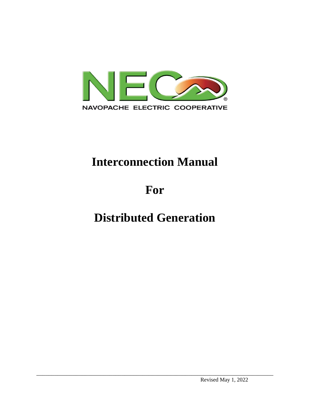

# **Interconnection Manual**

# **For**

# **Distributed Generation**

\_\_\_\_\_\_\_\_\_\_\_\_\_\_\_\_\_\_\_\_\_\_\_\_\_\_\_\_\_\_\_\_\_\_\_\_\_\_\_\_\_\_\_\_\_\_\_\_\_\_\_\_\_\_\_\_\_\_\_\_\_\_\_\_\_\_\_\_\_\_\_\_\_\_\_\_\_\_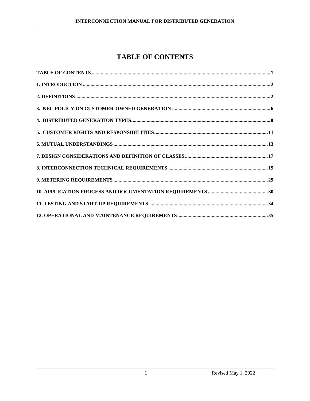# **TABLE OF CONTENTS**

<span id="page-1-0"></span>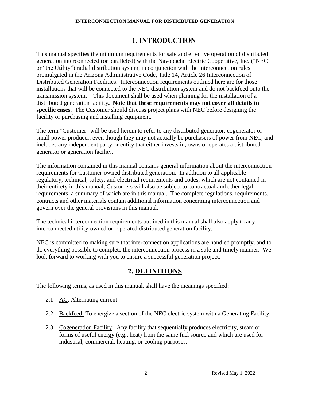## **1. INTRODUCTION**

<span id="page-2-0"></span>This manual specifies the minimum requirements for safe and effective operation of distributed generation interconnected (or paralleled) with the Navopache Electric Cooperative, Inc. ("NEC" or "the Utility") radial distribution system, in conjunction with the interconnection rules promulgated in the Arizona Administrative Code, Title 14, Article 26 Interconnection of Distributed Generation Facilities. Interconnection requirements outlined here are for those installations that will be connected to the NEC distribution system and do not backfeed onto the transmission system. This document shall be used when planning for the installation of a distributed generation facility**. Note that these requirements may not cover all details in specific cases.** The Customer should discuss project plans with NEC before designing the facility or purchasing and installing equipment.

The term "Customer" will be used herein to refer to any distributed generator, cogenerator or small power producer, even though they may not actually be purchasers of power from NEC, and includes any independent party or entity that either invests in, owns or operates a distributed generator or generation facility.

The information contained in this manual contains general information about the interconnection requirements for Customer-owned distributed generation. In addition to all applicable regulatory, technical, safety, and electrical requirements and codes, which are not contained in their entirety in this manual, Customers will also be subject to contractual and other legal requirements, a summary of which are in this manual. The complete regulations, requirements, contracts and other materials contain additional information concerning interconnection and govern over the general provisions in this manual.

The technical interconnection requirements outlined in this manual shall also apply to any interconnected utility-owned or -operated distributed generation facility.

NEC is committed to making sure that interconnection applications are handled promptly, and to do everything possible to complete the interconnection process in a safe and timely manner. We look forward to working with you to ensure a successful generation project.

## **2. DEFINITIONS**

<span id="page-2-1"></span>The following terms, as used in this manual, shall have the meanings specified:

- 2.1 AC: Alternating current.
- 2.2 Backfeed: To energize a section of the NEC electric system with a Generating Facility.
- 2.3 Cogeneration Facility: Any facility that sequentially produces electricity, steam or forms of useful energy (e.g., heat) from the same fuel source and which are used for industrial, commercial, heating, or cooling purposes.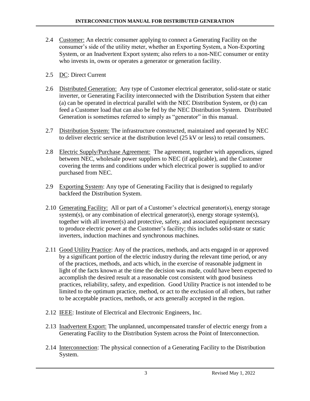- 2.4 Customer: An electric consumer applying to connect a Generating Facility on the consumer's side of the utility meter, whether an Exporting System, a Non-Exporting System, or an Inadvertent Export system; also refers to a non-NEC consumer or entity who invests in, owns or operates a generator or generation facility.
- 2.5 DC: Direct Current
- 2.6 Distributed Generation: Any type of Customer electrical generator, solid-state or static inverter, or Generating Facility interconnected with the Distribution System that either (a) can be operated in electrical parallel with the NEC Distribution System, or (b) can feed a Customer load that can also be fed by the NEC Distribution System. Distributed Generation is sometimes referred to simply as "generator" in this manual.
- 2.7 Distribution System: The infrastructure constructed, maintained and operated by NEC to deliver electric service at the distribution level (25 kV or less) to retail consumers.
- 2.8 Electric Supply/Purchase Agreement: The agreement, together with appendices, signed between NEC, wholesale power suppliers to NEC (if applicable), and the Customer covering the terms and conditions under which electrical power is supplied to and/or purchased from NEC.
- 2.9 Exporting System: Any type of Generating Facility that is designed to regularly backfeed the Distribution System.
- 2.10 Generating Facility: All or part of a Customer's electrical generator(s), energy storage system(s), or any combination of electrical generator(s), energy storage system(s), together with all inverter(s) and protective, safety, and associated equipment necessary to produce electric power at the Customer's facility; this includes solid-state or static inverters, induction machines and synchronous machines.
- 2.11 Good Utility Practice: Any of the practices, methods, and acts engaged in or approved by a significant portion of the electric industry during the relevant time period, or any of the practices, methods, and acts which, in the exercise of reasonable judgment in light of the facts known at the time the decision was made, could have been expected to accomplish the desired result at a reasonable cost consistent with good business practices, reliability, safety, and expedition. Good Utility Practice is not intended to be limited to the optimum practice, method, or act to the exclusion of all others, but rather to be acceptable practices, methods, or acts generally accepted in the region.
- 2.12 IEEE: Institute of Electrical and Electronic Engineers, Inc.
- 2.13 Inadvertent Export: The unplanned, uncompensated transfer of electric energy from a Generating Facility to the Distribution System across the Point of Interconnection.
- 2.14 Interconnection: The physical connection of a Generating Facility to the Distribution System.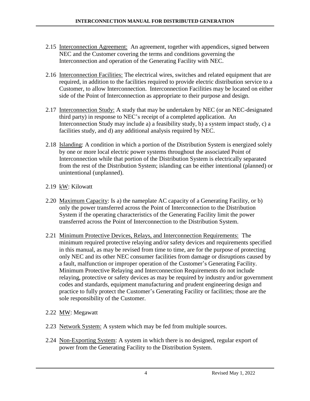- 2.15 Interconnection Agreement: An agreement, together with appendices, signed between NEC and the Customer covering the terms and conditions governing the Interconnection and operation of the Generating Facility with NEC.
- 2.16 Interconnection Facilities: The electrical wires, switches and related equipment that are required, in addition to the facilities required to provide electric distribution service to a Customer, to allow Interconnection. Interconnection Facilities may be located on either side of the Point of Interconnection as appropriate to their purpose and design.
- 2.17 Interconnection Study: A study that may be undertaken by NEC (or an NEC-designated third party) in response to NEC's receipt of a completed application. An Interconnection Study may include a) a feasibility study, b) a system impact study, c) a facilities study, and d) any additional analysis required by NEC.
- 2.18 Islanding: A condition in which a portion of the Distribution System is energized solely by one or more local electric power systems throughout the associated Point of Interconnection while that portion of the Distribution System is electrically separated from the rest of the Distribution System; islanding can be either intentional (planned) or unintentional (unplanned).
- 2.19 kW: Kilowatt
- 2.20 Maximum Capacity: Is a) the nameplate AC capacity of a Generating Facility, or b) only the power transferred across the Point of Interconnection to the Distribution System if the operating characteristics of the Generating Facility limit the power transferred across the Point of Interconnection to the Distribution System.
- 2.21 Minimum Protective Devices, Relays, and Interconnection Requirements: The minimum required protective relaying and/or safety devices and requirements specified in this manual, as may be revised from time to time, are for the purpose of protecting only NEC and its other NEC consumer facilities from damage or disruptions caused by a fault, malfunction or improper operation of the Customer's Generating Facility. Minimum Protective Relaying and Interconnection Requirements do not include relaying, protective or safety devices as may be required by industry and/or government codes and standards, equipment manufacturing and prudent engineering design and practice to fully protect the Customer's Generating Facility or facilities; those are the sole responsibility of the Customer.
- 2.22 MW: Megawatt
- 2.23 Network System: A system which may be fed from multiple sources.
- 2.24 Non-Exporting System: A system in which there is no designed, regular export of power from the Generating Facility to the Distribution System.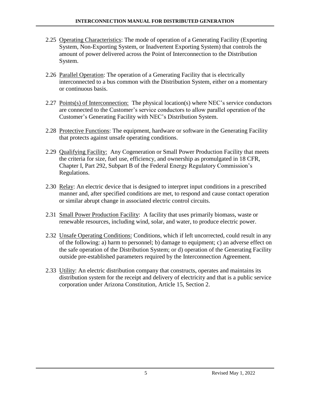- 2.25 Operating Characteristics: The mode of operation of a Generating Facility (Exporting System, Non-Exporting System, or Inadvertent Exporting System) that controls the amount of power delivered across the Point of Interconnection to the Distribution System.
- 2.26 Parallel Operation: The operation of a Generating Facility that is electrically interconnected to a bus common with the Distribution System, either on a momentary or continuous basis.
- 2.27 Points(s) of Interconnection: The physical location(s) where NEC's service conductors are connected to the Customer's service conductors to allow parallel operation of the Customer's Generating Facility with NEC's Distribution System.
- 2.28 Protective Functions: The equipment, hardware or software in the Generating Facility that protects against unsafe operating conditions.
- 2.29 Qualifying Facility: Any Cogeneration or Small Power Production Facility that meets the criteria for size, fuel use, efficiency, and ownership as promulgated in 18 CFR, Chapter I, Part 292, Subpart B of the Federal Energy Regulatory Commission's Regulations.
- 2.30 Relay: An electric device that is designed to interpret input conditions in a prescribed manner and, after specified conditions are met, to respond and cause contact operation or similar abrupt change in associated electric control circuits.
- 2.31 Small Power Production Facility: A facility that uses primarily biomass, waste or renewable resources, including wind, solar, and water, to produce electric power.
- 2.32 Unsafe Operating Conditions: Conditions, which if left uncorrected, could result in any of the following: a) harm to personnel; b) damage to equipment; c) an adverse effect on the safe operation of the Distribution System; or d) operation of the Generating Facility outside pre-established parameters required by the Interconnection Agreement.
- 2.33 Utility: An electric distribution company that constructs, operates and maintains its distribution system for the receipt and delivery of electricity and that is a public service corporation under Arizona Constitution, Article 15, Section 2.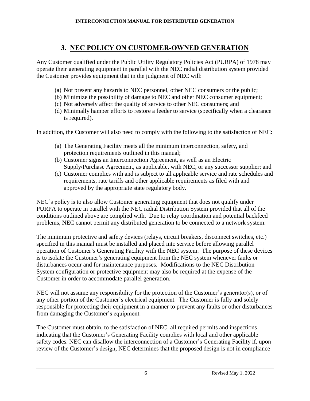## **3. NEC POLICY ON CUSTOMER-OWNED GENERATION**

<span id="page-6-0"></span>Any Customer qualified under the Public Utility Regulatory Policies Act (PURPA) of 1978 may operate their generating equipment in parallel with the NEC radial distribution system provided the Customer provides equipment that in the judgment of NEC will:

- (a) Not present any hazards to NEC personnel, other NEC consumers or the public;
- (b) Minimize the possibility of damage to NEC and other NEC consumer equipment;
- (c) Not adversely affect the quality of service to other NEC consumers; and
- (d) Minimally hamper efforts to restore a feeder to service (specifically when a clearance is required).

In addition, the Customer will also need to comply with the following to the satisfaction of NEC:

- (a) The Generating Facility meets all the minimum interconnection, safety, and protection requirements outlined in this manual;
- (b) Customer signs an Interconnection Agreement, as well as an Electric Supply/Purchase Agreement, as applicable, with NEC, or any successor supplier; and
- (c) Customer complies with and is subject to all applicable service and rate schedules and requirements, rate tariffs and other applicable requirements as filed with and approved by the appropriate state regulatory body.

NEC's policy is to also allow Customer generating equipment that does not qualify under PURPA to operate in parallel with the NEC radial Distribution System provided that all of the conditions outlined above are complied with. Due to relay coordination and potential backfeed problems, NEC cannot permit any distributed generation to be connected to a network system.

The minimum protective and safety devices (relays, circuit breakers, disconnect switches, etc.) specified in this manual must be installed and placed into service before allowing parallel operation of Customer's Generating Facility with the NEC system. The purpose of these devices is to isolate the Customer's generating equipment from the NEC system whenever faults or disturbances occur and for maintenance purposes. Modifications to the NEC Distribution System configuration or protective equipment may also be required at the expense of the Customer in order to accommodate parallel generation.

NEC will not assume any responsibility for the protection of the Customer's generator(s), or of any other portion of the Customer's electrical equipment. The Customer is fully and solely responsible for protecting their equipment in a manner to prevent any faults or other disturbances from damaging the Customer's equipment.

The Customer must obtain, to the satisfaction of NEC, all required permits and inspections indicating that the Customer's Generating Facility complies with local and other applicable safety codes. NEC can disallow the interconnection of a Customer's Generating Facility if, upon review of the Customer's design, NEC determines that the proposed design is not in compliance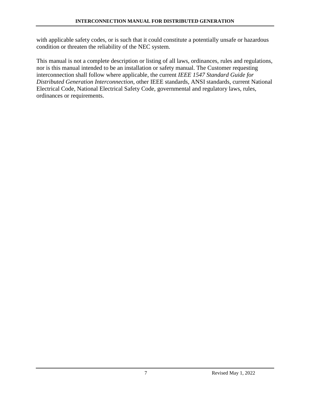with applicable safety codes, or is such that it could constitute a potentially unsafe or hazardous condition or threaten the reliability of the NEC system.

This manual is not a complete description or listing of all laws, ordinances, rules and regulations, nor is this manual intended to be an installation or safety manual. The Customer requesting interconnection shall follow where applicable, the current *IEEE 1547 Standard Guide for Distributed Generation Interconnection*, other IEEE standards, ANSI standards, current National Electrical Code, National Electrical Safety Code, governmental and regulatory laws, rules, ordinances or requirements.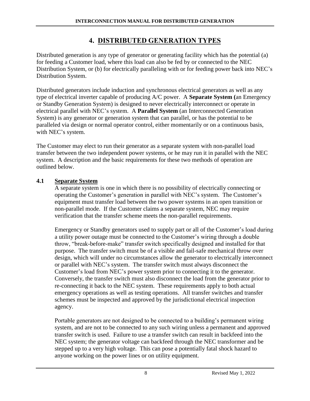## **4. DISTRIBUTED GENERATION TYPES**

<span id="page-8-0"></span>Distributed generation is any type of generator or generating facility which has the potential (a) for feeding a Customer load, where this load can also be fed by or connected to the NEC Distribution System, or (b) for electrically paralleling with or for feeding power back into NEC's Distribution System.

Distributed generators include induction and synchronous electrical generators as well as any type of electrical inverter capable of producing A/C power. A **Separate System (**an Emergency or Standby Generation System) is designed to never electrically interconnect or operate in electrical parallel with NEC's system. A **Parallel System** (an Interconnected Generation System) is any generator or generation system that can parallel, or has the potential to be paralleled via design or normal operator control, either momentarily or on a continuous basis, with NEC's system.

The Customer may elect to run their generator as a separate system with non-parallel load transfer between the two independent power systems, or he may run it in parallel with the NEC system. A description and the basic requirements for these two methods of operation are outlined below.

#### **4.1 Separate System**

A separate system is one in which there is no possibility of electrically connecting or operating the Customer's generation in parallel with NEC's system. The Customer's equipment must transfer load between the two power systems in an open transition or non-parallel mode. If the Customer claims a separate system, NEC may require verification that the transfer scheme meets the non-parallel requirements.

Emergency or Standby generators used to supply part or all of the Customer's load during a utility power outage must be connected to the Customer's wiring through a double throw, "break-before-make" transfer switch specifically designed and installed for that purpose. The transfer switch must be of a visible and fail-safe mechanical throw over design, which will under no circumstances allow the generator to electrically interconnect or parallel with NEC's system. The transfer switch must always disconnect the Customer's load from NEC's power system prior to connecting it to the generator. Conversely, the transfer switch must also disconnect the load from the generator prior to re-connecting it back to the NEC system. These requirements apply to both actual emergency operations as well as testing operations. All transfer switches and transfer schemes must be inspected and approved by the jurisdictional electrical inspection agency.

Portable generators are not designed to be connected to a building's permanent wiring system, and are not to be connected to any such wiring unless a permanent and approved transfer switch is used. Failure to use a transfer switch can result in backfeed into the NEC system; the generator voltage can backfeed through the NEC transformer and be stepped up to a very high voltage. This can pose a potentially fatal shock hazard to anyone working on the power lines or on utility equipment.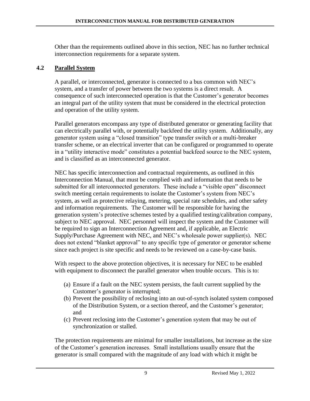Other than the requirements outlined above in this section, NEC has no further technical interconnection requirements for a separate system.

#### **4.2 Parallel System**

A parallel, or interconnected, generator is connected to a bus common with NEC's system, and a transfer of power between the two systems is a direct result. A consequence of such interconnected operation is that the Customer's generator becomes an integral part of the utility system that must be considered in the electrical protection and operation of the utility system.

Parallel generators encompass any type of distributed generator or generating facility that can electrically parallel with, or potentially backfeed the utility system. Additionally, any generator system using a "closed transition" type transfer switch or a multi-breaker transfer scheme, or an electrical inverter that can be configured or programmed to operate in a "utility interactive mode" constitutes a potential backfeed source to the NEC system, and is classified as an interconnected generator.

NEC has specific interconnection and contractual requirements, as outlined in this Interconnection Manual, that must be complied with and information that needs to be submitted for all interconnected generators. These include a "visible open" disconnect switch meeting certain requirements to isolate the Customer's system from NEC's system, as well as protective relaying, metering, special rate schedules, and other safety and information requirements. The Customer will be responsible for having the generation system's protective schemes tested by a qualified testing/calibration company, subject to NEC approval. NEC personnel will inspect the system and the Customer will be required to sign an Interconnection Agreement and, if applicable, an Electric Supply/Purchase Agreement with NEC, and NEC's wholesale power supplier(s). NEC does not extend "blanket approval" to any specific type of generator or generator scheme since each project is site specific and needs to be reviewed on a case-by-case basis.

With respect to the above protection objectives, it is necessary for NEC to be enabled with equipment to disconnect the parallel generator when trouble occurs. This is to:

- (a) Ensure if a fault on the NEC system persists, the fault current supplied by the Customer's generator is interrupted;
- (b) Prevent the possibility of reclosing into an out-of-synch isolated system composed of the Distribution System, or a section thereof, and the Customer's generator; and
- (c) Prevent reclosing into the Customer's generation system that may be out of synchronization or stalled.

The protection requirements are minimal for smaller installations, but increase as the size of the Customer's generation increases. Small installations usually ensure that the generator is small compared with the magnitude of any load with which it might be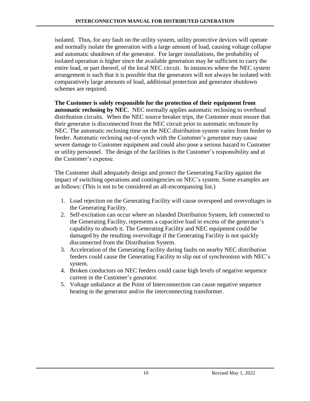isolated. Thus, for any fault on the utility system, utility protective devices will operate and normally isolate the generation with a large amount of load, causing voltage collapse and automatic shutdown of the generator. For larger installations, the probability of isolated operation is higher since the available generation may be sufficient to carry the entire load, or part thereof, of the local NEC circuit. In instances where the NEC system arrangement is such that it is possible that the generators will not always be isolated with comparatively large amounts of load, additional protection and generator shutdown schemes are required.

**The Customer is solely responsible for the protection of their equipment from automatic reclosing by NEC**. NEC normally applies automatic reclosing to overhead distribution circuits. When the NEC source breaker trips, the Customer must ensure that their generator is disconnected from the NEC circuit prior to automatic reclosure by NEC. The automatic reclosing time on the NEC distribution system varies from feeder to feeder. Automatic reclosing out-of-synch with the Customer's generator may cause severe damage to Customer equipment and could also pose a serious hazard to Customer or utility personnel. The design of the facilities is the Customer's responsibility and at the Customer's expense.

The Customer shall adequately design and protect the Generating Facility against the impact of switching operations and contingencies on NEC's system. Some examples are as follows: (This is not to be considered an all-encompassing list.)

- 1. Load rejection on the Generating Facility will cause overspeed and overvoltages in the Generating Facility.
- 2. Self-excitation can occur where an islanded Distribution System, left connected to the Generating Facility, represents a capacitive load in excess of the generator's capability to absorb it. The Generating Facility and NEC equipment could be damaged by the resulting overvoltage if the Generating Facility is not quickly disconnected from the Distribution System.
- 3. Acceleration of the Generating Facility during faults on nearby NEC distribution feeders could cause the Generating Facility to slip out of synchronism with NEC's system.
- 4. Broken conductors on NEC feeders could cause high levels of negative sequence current in the Customer's generator.
- 5. Voltage unbalance at the Point of Interconnection can cause negative sequence heating in the generator and/or the interconnecting transformer.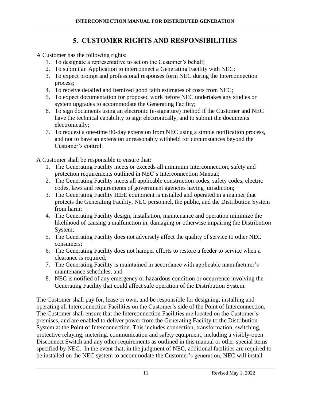# **5. CUSTOMER RIGHTS AND RESPONSIBILITIES**

<span id="page-11-0"></span>A Customer has the following rights:

- 1. To designate a representative to act on the Customer's behalf;
- 2. To submit an Application to interconnect a Generating Facility with NEC;
- 3. To expect prompt and professional responses form NEC during the Interconnection process;
- 4. To receive detailed and itemized good faith estimates of costs from NEC;
- 5. To expect documentation for proposed work before NEC undertakes any studies or system upgrades to accommodate the Generating Facility;
- 6. To sign documents using an electronic (e-signature) method if the Customer and NEC have the technical capability to sign electronically, and to submit the documents electronically;
- 7. To request a one-time 90-day extension from NEC using a simple notification process, and not to have an extension unreasonably withheld for circumstances beyond the Customer's control.

A Customer shall be responsible to ensure that:

- 1. The Generating Facility meets or exceeds all minimum Interconnection, safety and protection requirements outlined in NEC's Interconnection Manual;
- 2. The Generating Facility meets all applicable construction codes, safety codes, electric codes, laws and requirements of government agencies having jurisdiction;
- 3. The Generating Facility IEEE equipment is installed and operated in a manner that protects the Generating Facility, NEC personnel, the public, and the Distribution System from harm;
- 4. The Generating Facility design, installation, maintenance and operation minimize the likelihood of causing a malfunction in, damaging or otherwise impairing the Distribution System;
- 5. The Generating Facility does not adversely affect the quality of service to other NEC consumers;
- 6. The Generating Facility does not hamper efforts to restore a feeder to service when a clearance is required;
- 7. The Generating Facility is maintained in accordance with applicable manufacturer's maintenance schedules; and
- 8. NEC is notified of any emergency or hazardous condition or occurrence involving the Generating Facility that could affect safe operation of the Distribution System.

The Customer shall pay for, lease or own, and be responsible for designing, installing and operating all Interconnection Facilities on the Customer's side of the Point of Interconnection. The Customer shall ensure that the Interconnection Facilities are located on the Customer's premises, and are enabled to deliver power from the Generating Facility to the Distribution System at the Point of Interconnection. This includes connection, transformation, switching, protective relaying, metering, communication and safety equipment, including a visibly-open Disconnect Switch and any other requirements as outlined in this manual or other special items specified by NEC. In the event that, in the judgment of NEC, additional facilities are required to be installed on the NEC system to accommodate the Customer's generation, NEC will install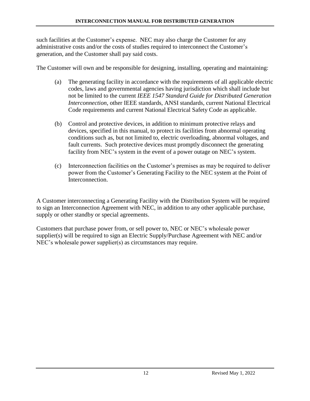such facilities at the Customer's expense. NEC may also charge the Customer for any administrative costs and/or the costs of studies required to interconnect the Customer's generation, and the Customer shall pay said costs.

The Customer will own and be responsible for designing, installing, operating and maintaining:

- (a) The generating facility in accordance with the requirements of all applicable electric codes, laws and governmental agencies having jurisdiction which shall include but not be limited to the current *IEEE 1547 Standard Guide for Distributed Generation Interconnection*, other IEEE standards, ANSI standards, current National Electrical Code requirements and current National Electrical Safety Code as applicable.
- (b) Control and protective devices, in addition to minimum protective relays and devices, specified in this manual, to protect its facilities from abnormal operating conditions such as, but not limited to, electric overloading, abnormal voltages, and fault currents. Such protective devices must promptly disconnect the generating facility from NEC's system in the event of a power outage on NEC's system.
- (c) Interconnection facilities on the Customer's premises as may be required to deliver power from the Customer's Generating Facility to the NEC system at the Point of **Interconnection**

A Customer interconnecting a Generating Facility with the Distribution System will be required to sign an Interconnection Agreement with NEC, in addition to any other applicable purchase, supply or other standby or special agreements.

Customers that purchase power from, or sell power to, NEC or NEC's wholesale power supplier(s) will be required to sign an Electric Supply/Purchase Agreement with NEC and/or NEC's wholesale power supplier(s) as circumstances may require.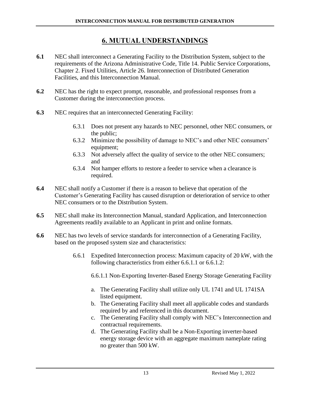## **6. MUTUAL UNDERSTANDINGS**

- <span id="page-13-0"></span>**6.1** NEC shall interconnect a Generating Facility to the Distribution System, subject to the requirements of the Arizona Administrative Code, Title 14. Public Service Corporations, Chapter 2. Fixed Utilities, Article 26. Interconnection of Distributed Generation Facilities, and this Interconnection Manual.
- **6.2** NEC has the right to expect prompt, reasonable, and professional responses from a Customer during the interconnection process.
- **6.3** NEC requires that an interconnected Generating Facility:
	- 6.3.1 Does not present any hazards to NEC personnel, other NEC consumers, or the public;
	- 6.3.2 Minimize the possibility of damage to NEC's and other NEC consumers' equipment;
	- 6.3.3 Not adversely affect the quality of service to the other NEC consumers; and
	- 6.3.4 Not hamper efforts to restore a feeder to service when a clearance is required.
- **6.4** NEC shall notify a Customer if there is a reason to believe that operation of the Customer's Generating Facility has caused disruption or deterioration of service to other NEC consumers or to the Distribution System.
- **6.5** NEC shall make its Interconnection Manual, standard Application, and Interconnection Agreements readily available to an Applicant in print and online formats.
- **6.6** NEC has two levels of service standards for interconnection of a Generating Facility, based on the proposed system size and characteristics:
	- 6.6.1 Expedited Interconnection process: Maximum capacity of 20 kW, with the following characteristics from either 6.6.1.1 or 6.6.1.2:

6.6.1.1 Non-Exporting Inverter-Based Energy Storage Generating Facility

- a. The Generating Facility shall utilize only UL 1741 and UL 1741SA listed equipment.
- b. The Generating Facility shall meet all applicable codes and standards required by and referenced in this document.
- c. The Generating Facility shall comply with NEC's Interconnection and contractual requirements.
- d. The Generating Facility shall be a Non-Exporting inverter-based energy storage device with an aggregate maximum nameplate rating no greater than 500 kW.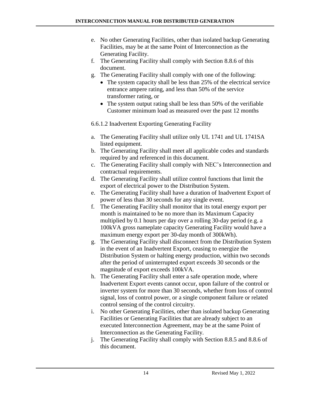- e. No other Generating Facilities, other than isolated backup Generating Facilities, may be at the same Point of Interconnection as the Generating Facility.
- f. The Generating Facility shall comply with Section 8.8.6 of this document.
- g. The Generating Facility shall comply with one of the following:
	- The system capacity shall be less than 25% of the electrical service entrance ampere rating, and less than 50% of the service transformer rating, or
	- The system output rating shall be less than 50% of the verifiable Customer minimum load as measured over the past 12 months

## 6.6.1.2 Inadvertent Exporting Generating Facility

- a. The Generating Facility shall utilize only UL 1741 and UL 1741SA listed equipment.
- b. The Generating Facility shall meet all applicable codes and standards required by and referenced in this document.
- c. The Generating Facility shall comply with NEC's Interconnection and contractual requirements.
- d. The Generating Facility shall utilize control functions that limit the export of electrical power to the Distribution System.
- e. The Generating Facility shall have a duration of Inadvertent Export of power of less than 30 seconds for any single event.
- f. The Generating Facility shall monitor that its total energy export per month is maintained to be no more than its Maximum Capacity multiplied by 0.1 hours per day over a rolling 30-day period (e.g. a 100kVA gross nameplate capacity Generating Facility would have a maximum energy export per 30-day month of 300kWh).
- g. The Generating Facility shall disconnect from the Distribution System in the event of an Inadvertent Export, ceasing to energize the Distribution System or halting energy production, within two seconds after the period of uninterrupted export exceeds 30 seconds or the magnitude of export exceeds 100kVA.
- h. The Generating Facility shall enter a safe operation mode, where Inadvertent Export events cannot occur, upon failure of the control or inverter system for more than 30 seconds, whether from loss of control signal, loss of control power, or a single component failure or related control sensing of the control circuitry.
- i. No other Generating Facilities, other than isolated backup Generating Facilities or Generating Facilities that are already subject to an executed Interconnection Agreement, may be at the same Point of Interconnection as the Generating Facility.
- j. The Generating Facility shall comply with Section 8.8.5 and 8.8.6 of this document.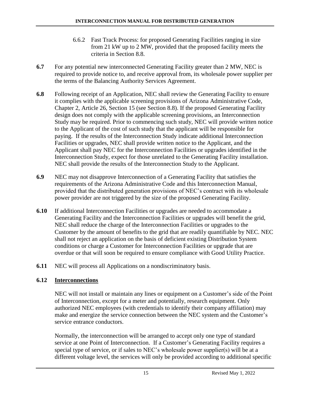- 6.6.2 Fast Track Process: for proposed Generating Facilities ranging in size from 21 kW up to 2 MW, provided that the proposed facility meets the criteria in Section 8.8.
- **6.7** For any potential new interconnected Generating Facility greater than 2 MW, NEC is required to provide notice to, and receive approval from, its wholesale power supplier per the terms of the Balancing Authority Services Agreement.
- **6.8** Following receipt of an Application, NEC shall review the Generating Facility to ensure it complies with the applicable screening provisions of Arizona Administrative Code, Chapter 2, Article 26, Section 15 (see Section 8.8). If the proposed Generating Facility design does not comply with the applicable screening provisions, an Interconnection Study may be required. Prior to commencing such study, NEC will provide written notice to the Applicant of the cost of such study that the applicant will be responsible for paying. If the results of the Interconnection Study indicate additional Interconnection Facilities or upgrades, NEC shall provide written notice to the Applicant, and the Applicant shall pay NEC for the Interconnection Facilities or upgrades identified in the Interconnection Study, expect for those unrelated to the Generating Facility installation. NEC shall provide the results of the Interconnection Study to the Applicant.
- **6.9** NEC may not disapprove Interconnection of a Generating Facility that satisfies the requirements of the Arizona Administrative Code and this Interconnection Manual, provided that the distributed generation provisions of NEC's contract with its wholesale power provider are not triggered by the size of the proposed Generating Facility.
- **6.10** If additional Interconnection Facilities or upgrades are needed to accommodate a Generating Facility and the Interconnection Facilities or upgrades will benefit the grid, NEC shall reduce the charge of the Interconnection Facilities or upgrades to the Customer by the amount of benefits to the grid that are readily quantifiable by NEC. NEC shall not reject an application on the basis of deficient existing Distribution System conditions or charge a Customer for Interconnection Facilities or upgrade that are overdue or that will soon be required to ensure compliance with Good Utility Practice.
- **6.11** NEC will process all Applications on a nondiscriminatory basis.

## **6.12 Interconnections**

NEC will not install or maintain any lines or equipment on a Customer's side of the Point of Interconnection, except for a meter and potentially, research equipment. Only authorized NEC employees (with credentials to identify their company affiliation) may make and energize the service connection between the NEC system and the Customer's service entrance conductors.

Normally, the interconnection will be arranged to accept only one type of standard service at one Point of Interconnection. If a Customer's Generating Facility requires a special type of service, or if sales to NEC's wholesale power supplier(s) will be at a different voltage level, the services will only be provided according to additional specific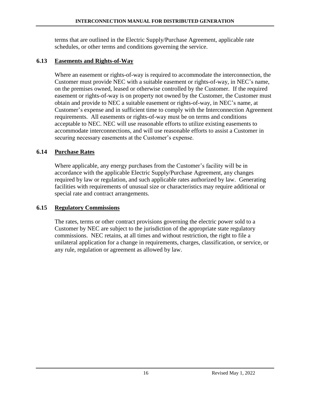terms that are outlined in the Electric Supply/Purchase Agreement, applicable rate schedules, or other terms and conditions governing the service.

#### **6.13 Easements and Rights-of-Way**

Where an easement or rights-of-way is required to accommodate the interconnection, the Customer must provide NEC with a suitable easement or rights-of-way, in NEC's name, on the premises owned, leased or otherwise controlled by the Customer. If the required easement or rights-of-way is on property not owned by the Customer, the Customer must obtain and provide to NEC a suitable easement or rights-of-way, in NEC's name, at Customer's expense and in sufficient time to comply with the Interconnection Agreement requirements. All easements or rights-of-way must be on terms and conditions acceptable to NEC. NEC will use reasonable efforts to utilize existing easements to accommodate interconnections, and will use reasonable efforts to assist a Customer in securing necessary easements at the Customer's expense.

#### **6.14 Purchase Rates**

Where applicable, any energy purchases from the Customer's facility will be in accordance with the applicable Electric Supply/Purchase Agreement, any changes required by law or regulation, and such applicable rates authorized by law. Generating facilities with requirements of unusual size or characteristics may require additional or special rate and contract arrangements.

#### **6.15 Regulatory Commissions**

The rates, terms or other contract provisions governing the electric power sold to a Customer by NEC are subject to the jurisdiction of the appropriate state regulatory commissions. NEC retains, at all times and without restriction, the right to file a unilateral application for a change in requirements, charges, classification, or service, or any rule, regulation or agreement as allowed by law.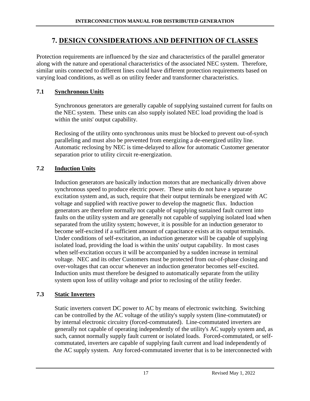## **7. DESIGN CONSIDERATIONS AND DEFINITION OF CLASSES**

<span id="page-17-0"></span>Protection requirements are influenced by the size and characteristics of the parallel generator along with the nature and operational characteristics of the associated NEC system. Therefore, similar units connected to different lines could have different protection requirements based on varying load conditions, as well as on utility feeder and transformer characteristics.

#### **7.1 Synchronous Units**

Synchronous generators are generally capable of supplying sustained current for faults on the NEC system. These units can also supply isolated NEC load providing the load is within the units' output capability.

Reclosing of the utility onto synchronous units must be blocked to prevent out-of-synch paralleling and must also be prevented from energizing a de-energized utility line. Automatic reclosing by NEC is time-delayed to allow for automatic Customer generator separation prior to utility circuit re-energization.

## **7.2 Induction Units**

Induction generators are basically induction motors that are mechanically driven above synchronous speed to produce electric power. These units do not have a separate excitation system and, as such, require that their output terminals be energized with AC voltage and supplied with reactive power to develop the magnetic flux. Induction generators are therefore normally not capable of supplying sustained fault current into faults on the utility system and are generally not capable of supplying isolated load when separated from the utility system; however, it is possible for an induction generator to become self-excited if a sufficient amount of capacitance exists at its output terminals. Under conditions of self-excitation, an induction generator will be capable of supplying isolated load, providing the load is within the units' output capability. In most cases when self-excitation occurs it will be accompanied by a sudden increase in terminal voltage. NEC and its other Customers must be protected from out-of-phase closing and over-voltages that can occur whenever an induction generator becomes self-excited. Induction units must therefore be designed to automatically separate from the utility system upon loss of utility voltage and prior to reclosing of the utility feeder.

## **7.3 Static Inverters**

Static inverters convert DC power to AC by means of electronic switching. Switching can be controlled by the AC voltage of the utility's supply system (line-commutated) or by internal electronic circuitry (forced-commutated). Line-commutated inverters are generally not capable of operating independently of the utility's AC supply system and, as such, cannot normally supply fault current or isolated loads. Forced-commutated, or selfcommutated, inverters are capable of supplying fault current and load independently of the AC supply system. Any forced-commutated inverter that is to be interconnected with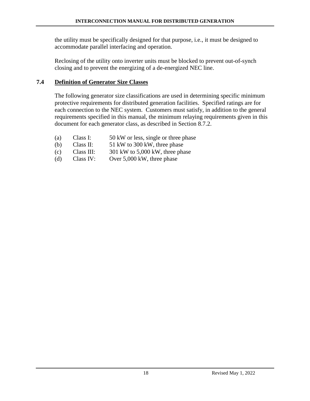the utility must be specifically designed for that purpose, i.e., it must be designed to accommodate parallel interfacing and operation.

Reclosing of the utility onto inverter units must be blocked to prevent out-of-synch closing and to prevent the energizing of a de-energized NEC line.

#### **7.4 Definition of Generator Size Classes**

The following generator size classifications are used in determining specific minimum protective requirements for distributed generation facilities. Specified ratings are for each connection to the NEC system. Customers must satisfy, in addition to the general requirements specified in this manual, the minimum relaying requirements given in this document for each generator class, as described in Section 8.7.2.

- (a) Class I: 50 kW or less, single or three phase
- (b) Class II:  $51 \text{ kW}$  to 300 kW, three phase
- (c) Class III:  $301 \text{ kW}$  to 5,000 kW, three phase
- (d) Class IV: Over 5,000 kW, three phase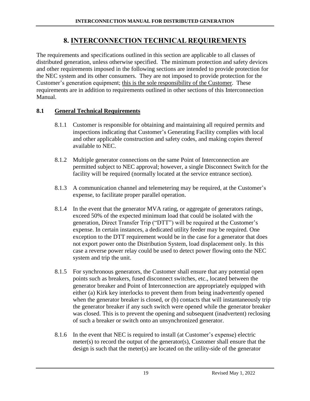## **8. INTERCONNECTION TECHNICAL REQUIREMENTS**

<span id="page-19-0"></span>The requirements and specifications outlined in this section are applicable to all classes of distributed generation, unless otherwise specified. The minimum protection and safety devices and other requirements imposed in the following sections are intended to provide protection for the NEC system and its other consumers. They are not imposed to provide protection for the Customer's generation equipment; this is the sole responsibility of the Customer. These requirements are in addition to requirements outlined in other sections of this Interconnection Manual.

#### **8.1 General Technical Requirements**

- 8.1.1 Customer is responsible for obtaining and maintaining all required permits and inspections indicating that Customer's Generating Facility complies with local and other applicable construction and safety codes, and making copies thereof available to NEC.
- 8.1.2 Multiple generator connections on the same Point of Interconnection are permitted subject to NEC approval; however, a single Disconnect Switch for the facility will be required (normally located at the service entrance section).
- 8.1.3 A communication channel and telemetering may be required, at the Customer's expense, to facilitate proper parallel operation.
- 8.1.4 In the event that the generator MVA rating, or aggregate of generators ratings, exceed 50% of the expected minimum load that could be isolated with the generation, Direct Transfer Trip ("DTT") will be required at the Customer's expense. In certain instances, a dedicated utility feeder may be required. One exception to the DTT requirement would be in the case for a generator that does not export power onto the Distribution System, load displacement only. In this case a reverse power relay could be used to detect power flowing onto the NEC system and trip the unit.
- 8.1.5 For synchronous generators, the Customer shall ensure that any potential open points such as breakers, fused disconnect switches, etc., located between the generator breaker and Point of Interconnection are appropriately equipped with either (a) Kirk key interlocks to prevent them from being inadvertently opened when the generator breaker is closed, or (b) contacts that will instantaneously trip the generator breaker if any such switch were opened while the generator breaker was closed. This is to prevent the opening and subsequent (inadvertent) reclosing of such a breaker or switch onto an unsynchronized generator.
- 8.1.6 In the event that NEC is required to install (at Customer's expense) electric meter(s) to record the output of the generator(s), Customer shall ensure that the design is such that the meter(s) are located on the utility-side of the generator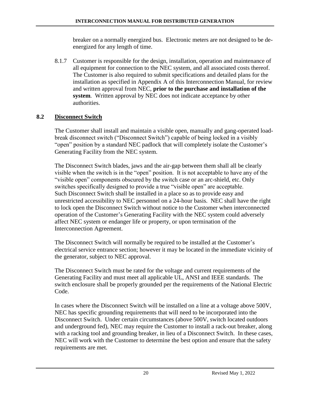breaker on a normally energized bus. Electronic meters are not designed to be deenergized for any length of time.

8.1.7 Customer is responsible for the design, installation, operation and maintenance of all equipment for connection to the NEC system, and all associated costs thereof. The Customer is also required to submit specifications and detailed plans for the installation as specified in Appendix A of this Interconnection Manual, for review and written approval from NEC, **prior to the purchase and installation of the system**. Written approval by NEC does not indicate acceptance by other authorities.

#### **8.2 Disconnect Switch**

The Customer shall install and maintain a visible open, manually and gang-operated loadbreak disconnect switch ("Disconnect Switch") capable of being locked in a visibly "open" position by a standard NEC padlock that will completely isolate the Customer's Generating Facility from the NEC system.

The Disconnect Switch blades, jaws and the air-gap between them shall all be clearly visible when the switch is in the "open" position. It is not acceptable to have any of the "visible open" components obscured by the switch case or an arc-shield, etc. Only switches specifically designed to provide a true "visible open" are acceptable. Such Disconnect Switch shall be installed in a place so as to provide easy and unrestricted accessibility to NEC personnel on a 24-hour basis. NEC shall have the right to lock open the Disconnect Switch without notice to the Customer when interconnected operation of the Customer's Generating Facility with the NEC system could adversely affect NEC system or endanger life or property, or upon termination of the Interconnection Agreement.

The Disconnect Switch will normally be required to be installed at the Customer's electrical service entrance section; however it may be located in the immediate vicinity of the generator, subject to NEC approval.

The Disconnect Switch must be rated for the voltage and current requirements of the Generating Facility and must meet all applicable UL, ANSI and IEEE standards. The switch enclosure shall be properly grounded per the requirements of the National Electric Code.

In cases where the Disconnect Switch will be installed on a line at a voltage above 500V, NEC has specific grounding requirements that will need to be incorporated into the Disconnect Switch. Under certain circumstances (above 500V, switch located outdoors and underground fed), NEC may require the Customer to install a rack-out breaker, along with a racking tool and grounding breaker, in lieu of a Disconnect Switch. In these cases, NEC will work with the Customer to determine the best option and ensure that the safety requirements are met.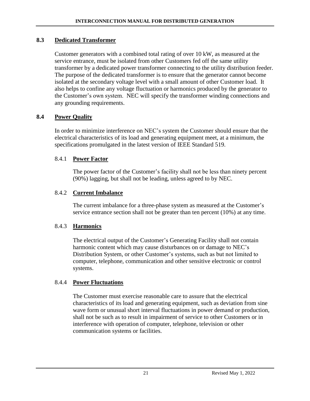#### **8.3 Dedicated Transformer**

Customer generators with a combined total rating of over 10 kW, as measured at the service entrance, must be isolated from other Customers fed off the same utility transformer by a dedicated power transformer connecting to the utility distribution feeder. The purpose of the dedicated transformer is to ensure that the generator cannot become isolated at the secondary voltage level with a small amount of other Customer load. It also helps to confine any voltage fluctuation or harmonics produced by the generator to the Customer's own system. NEC will specify the transformer winding connections and any grounding requirements.

#### **8.4 Power Quality**

In order to minimize interference on NEC's system the Customer should ensure that the electrical characteristics of its load and generating equipment meet, at a minimum, the specifications promulgated in the latest version of IEEE Standard 519.

#### 8.4.1 **Power Factor**

The power factor of the Customer's facility shall not be less than ninety percent (90%) lagging, but shall not be leading, unless agreed to by NEC.

#### 8.4.2 **Current Imbalance**

The current imbalance for a three-phase system as measured at the Customer's service entrance section shall not be greater than ten percent (10%) at any time.

#### 8.4.3 **Harmonics**

The electrical output of the Customer's Generating Facility shall not contain harmonic content which may cause disturbances on or damage to NEC's Distribution System, or other Customer's systems, such as but not limited to computer, telephone, communication and other sensitive electronic or control systems.

## 8.4.4 **Power Fluctuations**

The Customer must exercise reasonable care to assure that the electrical characteristics of its load and generating equipment, such as deviation from sine wave form or unusual short interval fluctuations in power demand or production, shall not be such as to result in impairment of service to other Customers or in interference with operation of computer, telephone, television or other communication systems or facilities.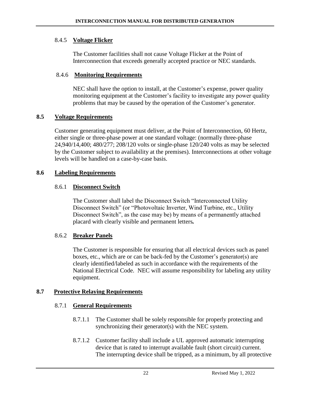#### 8.4.5 **Voltage Flicker**

The Customer facilities shall not cause Voltage Flicker at the Point of Interconnection that exceeds generally accepted practice or NEC standards.

#### 8.4.6 **Monitoring Requirements**

NEC shall have the option to install, at the Customer's expense, power quality monitoring equipment at the Customer's facility to investigate any power quality problems that may be caused by the operation of the Customer's generator.

#### **8.5 Voltage Requirements**

Customer generating equipment must deliver, at the Point of Interconnection, 60 Hertz, either single or three-phase power at one standard voltage: (normally three-phase 24,940/14,400; 480/277; 208/120 volts or single-phase 120/240 volts as may be selected by the Customer subject to availability at the premises). Interconnections at other voltage levels will be handled on a case-by-case basis.

#### **8.6 Labeling Requirements**

#### 8.6.1 **Disconnect Switch**

The Customer shall label the Disconnect Switch "Interconnected Utility Disconnect Switch" (or "Photovoltaic Inverter, Wind Turbine, etc., Utility Disconnect Switch", as the case may be) by means of a permanently attached placard with clearly visible and permanent letters*.*

#### 8.6.2 **Breaker Panels**

The Customer is responsible for ensuring that all electrical devices such as panel boxes, etc., which are or can be back-fed by the Customer's generator(s) are clearly identified/labeled as such in accordance with the requirements of the National Electrical Code. NEC will assume responsibility for labeling any utility equipment.

#### **8.7 Protective Relaying Requirements**

#### 8.7.1 **General Requirements**

- 8.7.1.1 The Customer shall be solely responsible for properly protecting and synchronizing their generator(s) with the NEC system.
- 8.7.1.2 Customer facility shall include a UL approved automatic interrupting device that is rated to interrupt available fault (short circuit) current. The interrupting device shall be tripped, as a minimum, by all protective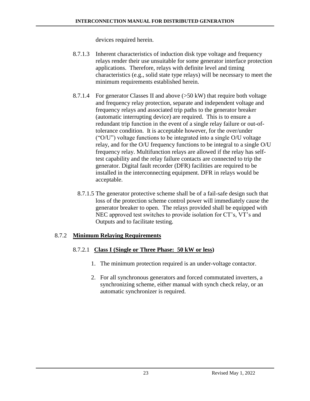devices required herein.

- 8.7.1.3 Inherent characteristics of induction disk type voltage and frequency relays render their use unsuitable for some generator interface protection applications. Therefore, relays with definite level and timing characteristics (e.g., solid state type relays) will be necessary to meet the minimum requirements established herein.
- 8.7.1.4 For generator Classes II and above (>50 kW) that require both voltage and frequency relay protection, separate and independent voltage and frequency relays and associated trip paths to the generator breaker (automatic interrupting device) are required. This is to ensure a redundant trip function in the event of a single relay failure or out-oftolerance condition. It is acceptable however, for the over/under ("O/U") voltage functions to be integrated into a single O/U voltage relay, and for the O/U frequency functions to be integral to a single O/U frequency relay. Multifunction relays are allowed if the relay has selftest capability and the relay failure contacts are connected to trip the generator. Digital fault recorder (DFR) facilities are required to be installed in the interconnecting equipment. DFR in relays would be acceptable.
	- 8.7.1.5 The generator protective scheme shall be of a fail-safe design such that loss of the protection scheme control power will immediately cause the generator breaker to open. The relays provided shall be equipped with NEC approved test switches to provide isolation for CT's, VT's and Outputs and to facilitate testing.

#### 8.7.2 **Minimum Relaying Requirements**

#### 8.7.2.1 **Class I (Single or Three Phase: 50 kW or less)**

- 1. The minimum protection required is an under-voltage contactor.
- 2. For all synchronous generators and forced commutated inverters, a synchronizing scheme, either manual with synch check relay, or an automatic synchronizer is required.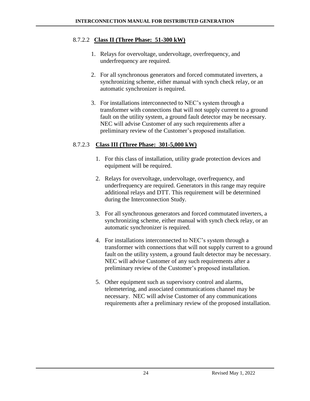#### 8.7.2.2 **Class II (Three Phase: 51-300 kW)**

- 1. Relays for overvoltage, undervoltage, overfrequency, and underfrequency are required.
- 2. For all synchronous generators and forced commutated inverters, a synchronizing scheme, either manual with synch check relay, or an automatic synchronizer is required.
- 3. For installations interconnected to NEC's system through a transformer with connections that will not supply current to a ground fault on the utility system, a ground fault detector may be necessary. NEC will advise Customer of any such requirements after a preliminary review of the Customer's proposed installation.

#### 8.7.2.3 **Class III (Three Phase: 301-5,000 kW)**

- 1. For this class of installation, utility grade protection devices and equipment will be required.
- 2. Relays for overvoltage, undervoltage, overfrequency, and underfrequency are required. Generators in this range may require additional relays and DTT. This requirement will be determined during the Interconnection Study.
- 3. For all synchronous generators and forced commutated inverters, a synchronizing scheme, either manual with synch check relay, or an automatic synchronizer is required.
- 4. For installations interconnected to NEC's system through a transformer with connections that will not supply current to a ground fault on the utility system, a ground fault detector may be necessary. NEC will advise Customer of any such requirements after a preliminary review of the Customer's proposed installation.
- 5. Other equipment such as supervisory control and alarms, telemetering, and associated communications channel may be necessary. NEC will advise Customer of any communications requirements after a preliminary review of the proposed installation.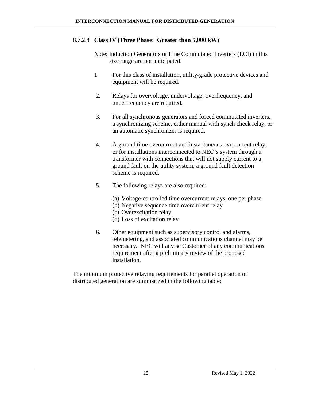#### 8.7.2.4 **Class IV (Three Phase: Greater than 5,000 kW)**

Note: Induction Generators or Line Commutated Inverters (LCI) in this size range are not anticipated.

- 1. For this class of installation, utility-grade protective devices and equipment will be required*.*
- 2. Relays for overvoltage, undervoltage, overfrequency, and underfrequency are required.
- 3. For all synchronous generators and forced commutated inverters, a synchronizing scheme, either manual with synch check relay, or an automatic synchronizer is required.
- 4. A ground time overcurrent and instantaneous overcurrent relay, or for installations interconnected to NEC's system through a transformer with connections that will not supply current to a ground fault on the utility system, a ground fault detection scheme is required.
- 5. The following relays are also required:
	- (a) Voltage-controlled time overcurrent relays, one per phase
	- (b) Negative sequence time overcurrent relay
	- (c) Overexcitation relay
	- (d) Loss of excitation relay
- 6. Other equipment such as supervisory control and alarms, telemetering, and associated communications channel may be necessary. NEC will advise Customer of any communications requirement after a preliminary review of the proposed installation.

The minimum protective relaying requirements for parallel operation of distributed generation are summarized in the following table: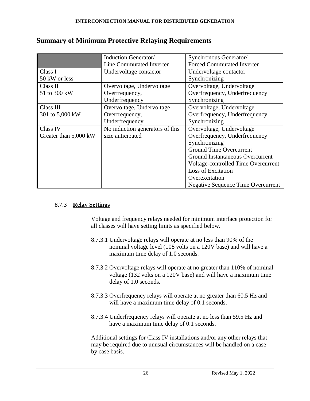|                       | Induction Generator/            | Synchronous Generator/                    |
|-----------------------|---------------------------------|-------------------------------------------|
|                       | <b>Line Commutated Inverter</b> | <b>Forced Commutated Inverter</b>         |
| Class I               | Undervoltage contactor          | Undervoltage contactor                    |
| 50 kW or less         |                                 | Synchronizing                             |
| Class II              | Overvoltage, Undervoltage       | Overvoltage, Undervoltage                 |
| 51 to 300 kW          | Overfrequency,                  | Overfrequency, Underfrequency             |
|                       | Underfrequency                  | Synchronizing                             |
| Class III             | Overvoltage, Undervoltage       | Overvoltage, Undervoltage                 |
| 301 to 5,000 kW       | Overfrequency,                  | Overfrequency, Underfrequency             |
|                       | Underfrequency                  | Synchronizing                             |
| Class IV              | No induction generators of this | Overvoltage, Undervoltage                 |
| Greater than 5,000 kW | size anticipated                | Overfrequency, Underfrequency             |
|                       |                                 | Synchronizing                             |
|                       |                                 | <b>Ground Time Overcurrent</b>            |
|                       |                                 | Ground Instantaneous Overcurrent          |
|                       |                                 | Voltage-controlled Time Overcurrent       |
|                       |                                 | Loss of Excitation                        |
|                       |                                 | Overexcitation                            |
|                       |                                 | <b>Negative Sequence Time Overcurrent</b> |

#### **Summary of Minimum Protective Relaying Requirements**

#### 8.7.3 **Relay Settings**

Voltage and frequency relays needed for minimum interface protection for all classes will have setting limits as specified below.

- 8.7.3.1 Undervoltage relays will operate at no less than 90% of the nominal voltage level (108 volts on a 120V base) and will have a maximum time delay of 1.0 seconds.
- 8.7.3.2 Overvoltage relays will operate at no greater than 110% of nominal voltage (132 volts on a 120V base) and will have a maximum time delay of 1.0 seconds.
- 8.7.3.3 Overfrequency relays will operate at no greater than 60.5 Hz and will have a maximum time delay of 0.1 seconds.
- 8.7.3.4 Underfrequency relays will operate at no less than 59.5 Hz and have a maximum time delay of 0.1 seconds.

Additional settings for Class IV installations and/or any other relays that may be required due to unusual circumstances will be handled on a case by case basis.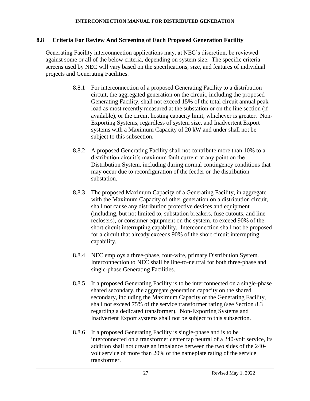#### **8.8 Criteria For Review And Screening of Each Proposed Generation Facility**

Generating Facility interconnection applications may, at NEC's discretion, be reviewed against some or all of the below criteria, depending on system size. The specific criteria screens used by NEC will vary based on the specifications, size, and features of individual projects and Generating Facilities.

- 8.8.1 For interconnection of a proposed Generating Facility to a distribution circuit, the aggregated generation on the circuit, including the proposed Generating Facility, shall not exceed 15% of the total circuit annual peak load as most recently measured at the substation or on the line section (if available), or the circuit hosting capacity limit, whichever is greater. Non-Exporting Systems, regardless of system size, and Inadvertent Export systems with a Maximum Capacity of 20 kW and under shall not be subject to this subsection.
- 8.8.2 A proposed Generating Facility shall not contribute more than 10% to a distribution circuit's maximum fault current at any point on the Distribution System, including during normal contingency conditions that may occur due to reconfiguration of the feeder or the distribution substation.
- 8.8.3 The proposed Maximum Capacity of a Generating Facility, in aggregate with the Maximum Capacity of other generation on a distribution circuit, shall not cause any distribution protective devices and equipment (including, but not limited to, substation breakers, fuse cutouts, and line reclosers), or consumer equipment on the system, to exceed 90% of the short circuit interrupting capability. Interconnection shall not be proposed for a circuit that already exceeds 90% of the short circuit interrupting capability.
- 8.8.4 NEC employs a three-phase, four-wire, primary Distribution System. Interconnection to NEC shall be line-to-neutral for both three-phase and single-phase Generating Facilities.
- 8.8.5 If a proposed Generating Facility is to be interconnected on a single-phase shared secondary, the aggregate generation capacity on the shared secondary, including the Maximum Capacity of the Generating Facility, shall not exceed 75% of the service transformer rating (see Section 8.3 regarding a dedicated transformer). Non-Exporting Systems and Inadvertent Export systems shall not be subject to this subsection.
- 8.8.6 If a proposed Generating Facility is single-phase and is to be interconnected on a transformer center tap neutral of a 240-volt service, its addition shall not create an imbalance between the two sides of the 240 volt service of more than 20% of the nameplate rating of the service transformer.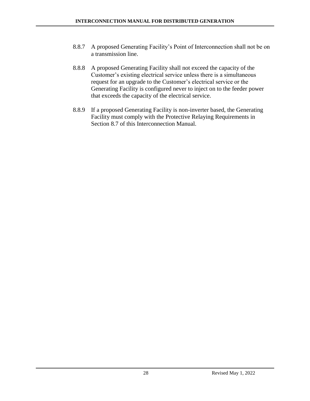- 8.8.7 A proposed Generating Facility's Point of Interconnection shall not be on a transmission line.
- 8.8.8 A proposed Generating Facility shall not exceed the capacity of the Customer's existing electrical service unless there is a simultaneous request for an upgrade to the Customer's electrical service or the Generating Facility is configured never to inject on to the feeder power that exceeds the capacity of the electrical service.
- 8.8.9 If a proposed Generating Facility is non-inverter based, the Generating Facility must comply with the Protective Relaying Requirements in Section 8.7 of this Interconnection Manual.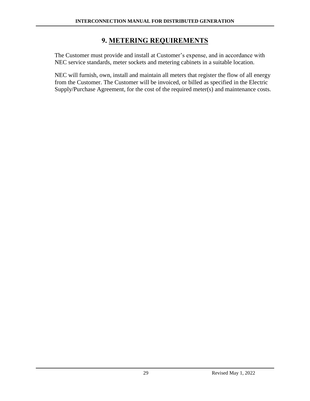## **9. METERING REQUIREMENTS**

<span id="page-29-0"></span>The Customer must provide and install at Customer's expense, and in accordance with NEC service standards, meter sockets and metering cabinets in a suitable location.

NEC will furnish, own, install and maintain all meters that register the flow of all energy from the Customer. The Customer will be invoiced, or billed as specified in the Electric Supply/Purchase Agreement, for the cost of the required meter(s) and maintenance costs.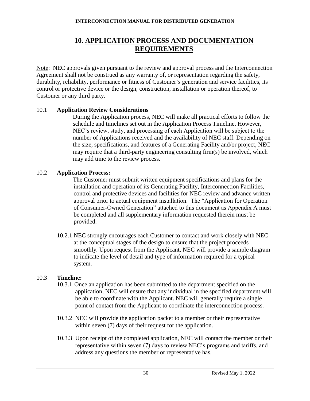## **10. APPLICATION PROCESS AND DOCUMENTATION REQUIREMENTS**

<span id="page-30-0"></span>Note: NEC approvals given pursuant to the review and approval process and the Interconnection Agreement shall not be construed as any warranty of, or representation regarding the safety, durability, reliability, performance or fitness of Customer's generation and service facilities, its control or protective device or the design, construction, installation or operation thereof, to Customer or any third party.

#### 10.1 **Application Review Considerations**

During the Application process, NEC will make all practical efforts to follow the schedule and timelines set out in the Application Process Timeline. However, NEC's review, study, and processing of each Application will be subject to the number of Applications received and the availability of NEC staff. Depending on the size, specifications, and features of a Generating Facility and/or project, NEC may require that a third-party engineering consulting firm(s) be involved, which may add time to the review process.

#### 10.2 **Application Process:**

The Customer must submit written equipment specifications and plans for the installation and operation of its Generating Facility, Interconnection Facilities, control and protective devices and facilities for NEC review and advance written approval prior to actual equipment installation. The "Application for Operation of Consumer-Owned Generation" attached to this document as Appendix A must be completed and all supplementary information requested therein must be provided.

10.2.1 NEC strongly encourages each Customer to contact and work closely with NEC at the conceptual stages of the design to ensure that the project proceeds smoothly. Upon request from the Applicant, NEC will provide a sample diagram to indicate the level of detail and type of information required for a typical system.

## 10.3 **Timeline:**

- 10.3.1 Once an application has been submitted to the department specified on the application, NEC will ensure that any individual in the specified department will be able to coordinate with the Applicant. NEC will generally require a single point of contact from the Applicant to coordinate the interconnection process.
- 10.3.2 NEC will provide the application packet to a member or their representative within seven (7) days of their request for the application.
- 10.3.3 Upon receipt of the completed application, NEC will contact the member or their representative within seven (7) days to review NEC's programs and tariffs, and address any questions the member or representative has.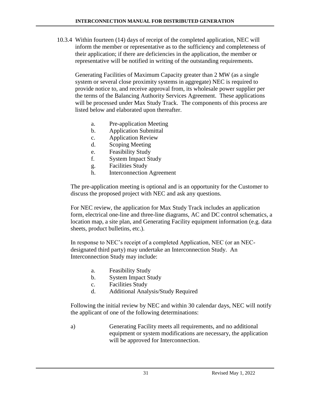10.3.4 Within fourteen (14) days of receipt of the completed application, NEC will inform the member or representative as to the sufficiency and completeness of their application; if there are deficiencies in the application, the member or representative will be notified in writing of the outstanding requirements.

Generating Facilities of Maximum Capacity greater than 2 MW (as a single system or several close proximity systems in aggregate) NEC is required to provide notice to, and receive approval from, its wholesale power supplier per the terms of the Balancing Authority Services Agreement. These applications will be processed under Max Study Track. The components of this process are listed below and elaborated upon thereafter.

- a. Pre-application Meeting
- b. Application Submittal
- c. Application Review
- d. Scoping Meeting
- e. Feasibility Study
- f. System Impact Study
- g. Facilities Study
- h. Interconnection Agreement

The pre-application meeting is optional and is an opportunity for the Customer to discuss the proposed project with NEC and ask any questions.

For NEC review, the application for Max Study Track includes an application form, electrical one-line and three-line diagrams, AC and DC control schematics, a location map, a site plan, and Generating Facility equipment information (e.g. data sheets, product bulletins, etc.).

In response to NEC's receipt of a completed Application, NEC (or an NECdesignated third party) may undertake an Interconnection Study. An Interconnection Study may include:

- a. Feasibility Study
- b. System Impact Study
- c. Facilities Study
- d. Additional Analysis/Study Required

Following the initial review by NEC and within 30 calendar days, NEC will notify the applicant of one of the following determinations:

a) Generating Facility meets all requirements, and no additional equipment or system modifications are necessary, the application will be approved for Interconnection.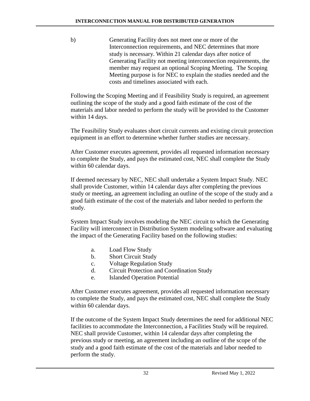b) Generating Facility does not meet one or more of the Interconnection requirements, and NEC determines that more study is necessary. Within 21 calendar days after notice of Generating Facility not meeting interconnection requirements, the member may request an optional Scoping Meeting. The Scoping Meeting purpose is for NEC to explain the studies needed and the costs and timelines associated with each.

Following the Scoping Meeting and if Feasibility Study is required, an agreement outlining the scope of the study and a good faith estimate of the cost of the materials and labor needed to perform the study will be provided to the Customer within 14 days.

The Feasibility Study evaluates short circuit currents and existing circuit protection equipment in an effort to determine whether further studies are necessary.

After Customer executes agreement, provides all requested information necessary to complete the Study, and pays the estimated cost, NEC shall complete the Study within 60 calendar days.

If deemed necessary by NEC, NEC shall undertake a System Impact Study. NEC shall provide Customer, within 14 calendar days after completing the previous study or meeting, an agreement including an outline of the scope of the study and a good faith estimate of the cost of the materials and labor needed to perform the study.

System Impact Study involves modeling the NEC circuit to which the Generating Facility will interconnect in Distribution System modeling software and evaluating the impact of the Generating Facility based on the following studies:

- a. Load Flow Study
- b. Short Circuit Study
- c. Voltage Regulation Study
- d. Circuit Protection and Coordination Study
- e. Islanded Operation Potential

After Customer executes agreement, provides all requested information necessary to complete the Study, and pays the estimated cost, NEC shall complete the Study within 60 calendar days.

If the outcome of the System Impact Study determines the need for additional NEC facilities to accommodate the Interconnection, a Facilities Study will be required. NEC shall provide Customer, within 14 calendar days after completing the previous study or meeting, an agreement including an outline of the scope of the study and a good faith estimate of the cost of the materials and labor needed to perform the study.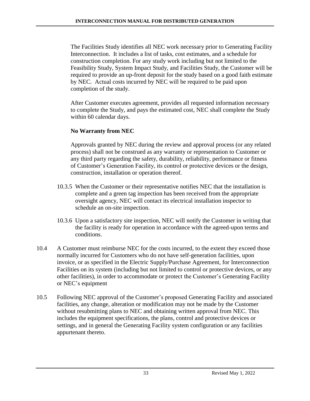The Facilities Study identifies all NEC work necessary prior to Generating Facility Interconnection. It includes a list of tasks, cost estimates, and a schedule for construction completion. For any study work including but not limited to the Feasibility Study, System Impact Study, and Facilities Study, the Customer will be required to provide an up-front deposit for the study based on a good faith estimate by NEC. Actual costs incurred by NEC will be required to be paid upon completion of the study.

After Customer executes agreement, provides all requested information necessary to complete the Study, and pays the estimated cost, NEC shall complete the Study within 60 calendar days.

## **No Warranty from NEC**

Approvals granted by NEC during the review and approval process (or any related process) shall not be construed as any warranty or representation to Customer or any third party regarding the safety, durability, reliability, performance or fitness of Customer's Generation Facility, its control or protective devices or the design, construction, installation or operation thereof.

- 10.3.5 When the Customer or their representative notifies NEC that the installation is complete and a green tag inspection has been received from the appropriate oversight agency, NEC will contact its electrical installation inspector to schedule an on-site inspection.
- 10.3.6 Upon a satisfactory site inspection, NEC will notify the Customer in writing that the facility is ready for operation in accordance with the agreed-upon terms and conditions.
- 10.4 A Customer must reimburse NEC for the costs incurred, to the extent they exceed those normally incurred for Customers who do not have self-generation facilities, upon invoice, or as specified in the Electric Supply/Purchase Agreement, for Interconnection Facilities on its system (including but not limited to control or protective devices, or any other facilities), in order to accommodate or protect the Customer's Generating Facility or NEC's equipment
- 10.5 Following NEC approval of the Customer's proposed Generating Facility and associated facilities, any change, alteration or modification may not be made by the Customer without resubmitting plans to NEC and obtaining written approval from NEC. This includes the equipment specifications, the plans, control and protective devices or settings, and in general the Generating Facility system configuration or any facilities appurtenant thereto.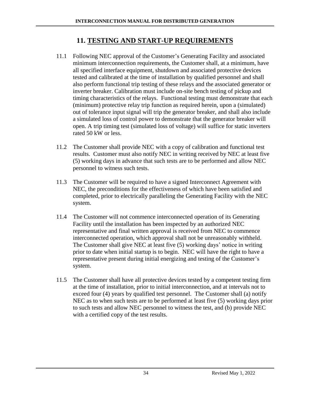## **11. TESTING AND START-UP REQUIREMENTS**

- <span id="page-34-0"></span>11.1 Following NEC approval of the Customer's Generating Facility and associated minimum interconnection requirements, the Customer shall, at a minimum, have all specified interface equipment, shutdown and associated protective devices tested and calibrated at the time of installation by qualified personnel and shall also perform functional trip testing of these relays and the associated generator or inverter breaker. Calibration must include on-site bench testing of pickup and timing characteristics of the relays. Functional testing must demonstrate that each (minimum) protective relay trip function as required herein, upon a (simulated) out of tolerance input signal will trip the generator breaker, and shall also include a simulated loss of control power to demonstrate that the generator breaker will open. A trip timing test (simulated loss of voltage) will suffice for static inverters rated 50 kW or less.
- 11.2 The Customer shall provide NEC with a copy of calibration and functional test results. Customer must also notify NEC in writing received by NEC at least five (5) working days in advance that such tests are to be performed and allow NEC personnel to witness such tests.
- 11.3 The Customer will be required to have a signed Interconnect Agreement with NEC, the preconditions for the effectiveness of which have been satisfied and completed, prior to electrically paralleling the Generating Facility with the NEC system.
- 11.4 The Customer will not commence interconnected operation of its Generating Facility until the installation has been inspected by an authorized NEC representative and final written approval is received from NEC to commence interconnected operation, which approval shall not be unreasonably withheld. The Customer shall give NEC at least five (5) working days' notice in writing prior to date when initial startup is to begin. NEC will have the right to have a representative present during initial energizing and testing of the Customer's system.
- 11.5 The Customer shall have all protective devices tested by a competent testing firm at the time of installation, prior to initial interconnection, and at intervals not to exceed four (4) years by qualified test personnel. The Customer shall (a) notify NEC as to when such tests are to be performed at least five (5) working days prior to such tests and allow NEC personnel to witness the test, and (b) provide NEC with a certified copy of the test results.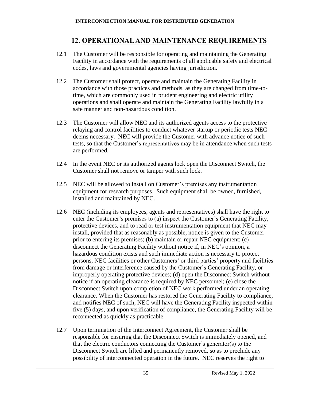## <span id="page-35-0"></span> **12. OPERATIONAL AND MAINTENANCE REQUIREMENTS**

- 12.1 The Customer will be responsible for operating and maintaining the Generating Facility in accordance with the requirements of all applicable safety and electrical codes, laws and governmental agencies having jurisdiction.
- 12.2 The Customer shall protect, operate and maintain the Generating Facility in accordance with those practices and methods, as they are changed from time-totime, which are commonly used in prudent engineering and electric utility operations and shall operate and maintain the Generating Facility lawfully in a safe manner and non-hazardous condition.
- 12.3 The Customer will allow NEC and its authorized agents access to the protective relaying and control facilities to conduct whatever startup or periodic tests NEC deems necessary. NEC will provide the Customer with advance notice of such tests, so that the Customer's representatives may be in attendance when such tests are performed.
- 12.4 In the event NEC or its authorized agents lock open the Disconnect Switch, the Customer shall not remove or tamper with such lock.
- 12.5 NEC will be allowed to install on Customer's premises any instrumentation equipment for research purposes. Such equipment shall be owned, furnished, installed and maintained by NEC.
- 12.6 NEC (including its employees, agents and representatives) shall have the right to enter the Customer's premises to (a) inspect the Customer's Generating Facility, protective devices, and to read or test instrumentation equipment that NEC may install, provided that as reasonably as possible, notice is given to the Customer prior to entering its premises; (b) maintain or repair NEC equipment; (c) disconnect the Generating Facility without notice if, in NEC's opinion, a hazardous condition exists and such immediate action is necessary to protect persons, NEC facilities or other Customers' or third parties' property and facilities from damage or interference caused by the Customer's Generating Facility, or improperly operating protective devices; (d) open the Disconnect Switch without notice if an operating clearance is required by NEC personnel; (e) close the Disconnect Switch upon completion of NEC work performed under an operating clearance. When the Customer has restored the Generating Facility to compliance, and notifies NEC of such, NEC will have the Generating Facility inspected within five (5) days, and upon verification of compliance, the Generating Facility will be reconnected as quickly as practicable.
- 12.7 Upon termination of the Interconnect Agreement, the Customer shall be responsible for ensuring that the Disconnect Switch is immediately opened, and that the electric conductors connecting the Customer's generator(s) to the Disconnect Switch are lifted and permanently removed, so as to preclude any possibility of interconnected operation in the future. NEC reserves the right to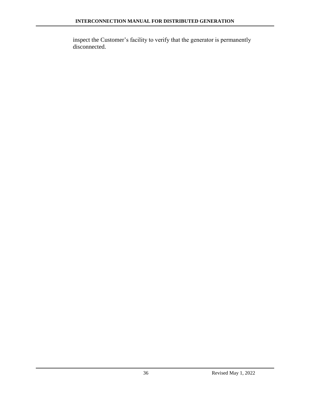inspect the Customer's facility to verify that the generator is permanently disconnected.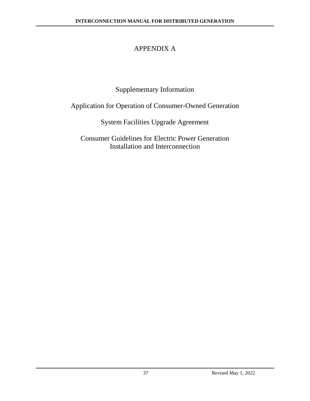# APPENDIX A

# Supplementary Information

# Application for Operation of Consumer-Owned Generation

# System Facilities Upgrade Agreement

## Consumer Guidelines for Electric Power Generation Installation and Interconnection